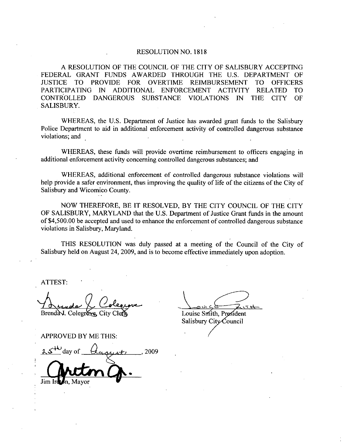## RESOLUTION NO. 1818

A RESOLUTION OF THE COUNCIL OF THE CITY OF SALISBURY ACCEPTING<br>FEDERAL GRANT FUNDS AWARDED THROUGH THE U.S. DEPARTMENT OF JUSTICE TO PROVIDE FOR OVERTIME REIMBURSEMENT TO OFFICERS PARTICIPATING IN ADDITIONAL ENFORCEMENT ACTIVITY RELATED TO CONTROLLED DANGEROUS SUBSTANCE VIOLATIONS IN THE CITY OF SALISBURY

WHEREAS, the U.S. Department of Justice has awarded grant funds to the Salisbury Police Department to aid in additional enforcement activity of controlled dangerous substance violations; and

WHEREAS, these funds will provide overtime reimbursement to officers engaging in additional enforcement activity concerning controlled dangerous substances; and

WHEREAS, additional enforcement of controlled dangerous substance violations will help provide a safer environment, thus improving the quality of life of the citizens of the City of Salisbury and Wicomico County

NOW THEREFORE, BE IT RESOLVED, BY THE CITY COUNCIL OF THE CITY NOW THEREFORE, BE IT RESOLVED, BY THE CITY COUNCIL OF THE CITY<br>OF SALISBURY, MARYLAND that the U.S. Department of Justice Grant funds in the amount Salisbury and Wicomico County.<br>NOW THEREFORE, BE IT RESOLVED, BY THE CITY COUNCIL OF THE CITY<br>OF SALISBURY, MARYLAND that the U.S. Department of Justice Grant funds in the amount<br>of \$4,500.00 be accepted and used to enhanc violations in Salisbury, Maryland.

THIS RESOLUTION was duly passed at <sup>a</sup> meeting of the Council of the City of Salisbury held on August 24, 2009, and is to become effective immediately upon adoption.

ATTEST

Brenda J. Colegrave. City Clea

APPROVED BY ME THIS

THIS RESOLUTION W<br>Salisbury held on August 24, 200<br>ATTEST:<br>A Lendar (Colegroves City Class)<br>Brendar Colegroves City Class<br>APPROVED BY ME THIS:<br>25<sup>+ LJ</sup>day of Quagust) Salisbury held on August 24, 2009, and is t<br>ATTEST:<br>ATTEST:<br> $A = \sqrt{\frac{C_{\text{o}}C_{\text{e}}C_{\text{e}}C_{\text{f}}C_{\text{f}}C_{\text{f}}C_{\text{f}}C_{\text{f}}C_{\text{f}}C_{\text{f}}C_{\text{f}}C_{\text{f}}C_{\text{f}}C_{\text{f}}C_{\text{f}}C_{\text{f}}C_{\text{f}}C_{\text{f}}C_{\text{f}}C_{\text{f}}C_{\text{f}}C_{\text{f$  $\frac{u}{v}$ Jim Ird

Louise Smith, President Salisbury City Council